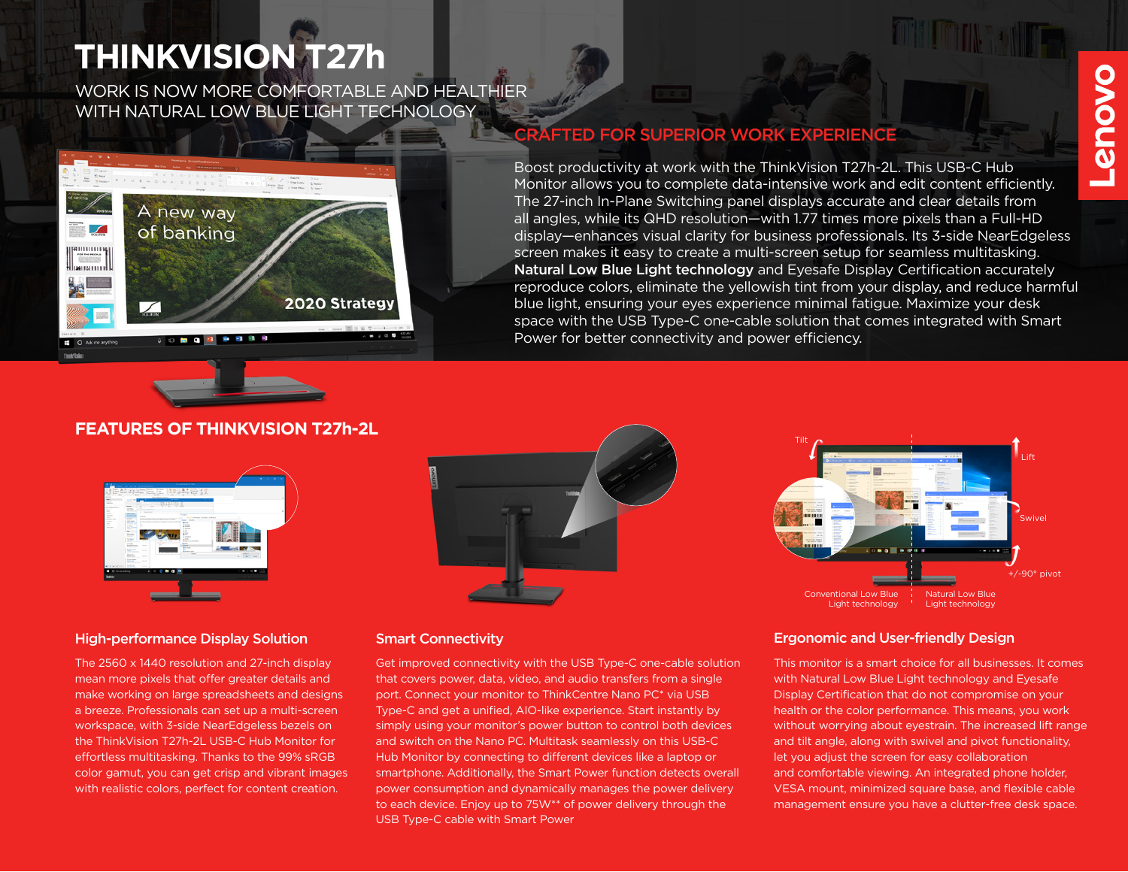# **THINKVISION T27h**

WORK IS NOW MORE COMFORTABLE AND HEALTHIER WITH NATURAL LOW BLUE LIGHT TECHNOLOGY





## **FEATURES OF THINKVISION T27h-2L**



### High-performance Display Solution Smart Connectivity

The 2560 x 1440 resolution and 27-inch display mean more pixels that offer greater details and make working on large spreadsheets and designs a breeze. Professionals can set up a multi-screen workspace, with 3-side NearEdgeless bezels on the ThinkVision T27h-2L USB-C Hub Monitor for effortless multitasking. Thanks to the 99% sRGB color gamut, you can get crisp and vibrant images with realistic colors, perfect for content creation.



Get improved connectivity with the USB Type-C one-cable solution that covers power, data, video, and audio transfers from a single port. Connect your monitor to ThinkCentre Nano PC\* via USB Type-C and get a unified, AIO-like experience. Start instantly by simply using your monitor's power button to control both devices and switch on the Nano PC. Multitask seamlessly on this USB-C Hub Monitor by connecting to different devices like a laptop or smartphone. Additionally, the Smart Power function detects overall power consumption and dynamically manages the power delivery to each device. Enjoy up to 75W\*\* of power delivery through the USB Type-C cable with Smart Power



### Ergonomic and User-friendly Design

This monitor is a smart choice for all businesses. It comes with Natural Low Blue Light technology and Eyesafe Display Certification that do not compromise on your health or the color performance. This means, you work without worrying about eyestrain. The increased lift range and tilt angle, along with swivel and pivot functionality, let you adjust the screen for easy collaboration and comfortable viewing. An integrated phone holder, VESA mount, minimized square base, and flexible cable management ensure you have a clutter-free desk space.

# **AFTED FOR SUPERIOR WORK EXPERIENCE**

Boost productivity at work with the ThinkVision T27h-2L. This USB-C Hub Monitor allows you to complete data-intensive work and edit content efficiently. The 27-inch In-Plane Switching panel displays accurate and clear details from all angles, while its QHD resolution—with 1.77 times more pixels than a Full-HD display—enhances visual clarity for business professionals. Its 3-side NearEdgeless screen makes it easy to create a multi-screen setup for seamless multitasking. Natural Low Blue Light technology and Eyesafe Display Certification accurately reproduce colors, eliminate the yellowish tint from your display, and reduce harmful blue light, ensuring your eyes experience minimal fatigue. Maximize your desk space with the USB Type-C one-cable solution that comes integrated with Smart Power for better connectivity and power efficiency.